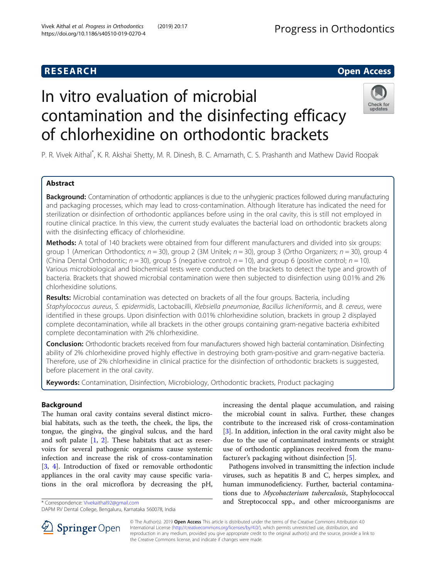# **RESEARCH CHE Open Access**

# In vitro evaluation of microbial contamination and the disinfecting efficacy of chlorhexidine on orthodontic brackets



P. R. Vivek Aithal<sup>\*</sup>, K. R. Akshai Shetty, M. R. Dinesh, B. C. Amarnath, C. S. Prashanth and Mathew David Roopak

# Abstract

Background: Contamination of orthodontic appliances is due to the unhygienic practices followed during manufacturing and packaging processes, which may lead to cross-contamination. Although literature has indicated the need for sterilization or disinfection of orthodontic appliances before using in the oral cavity, this is still not employed in routine clinical practice. In this view, the current study evaluates the bacterial load on orthodontic brackets along with the disinfecting efficacy of chlorhexidine.

Methods: A total of 140 brackets were obtained from four different manufacturers and divided into six groups: group 1 (American Orthodontics;  $n = 30$ ), group 2 (3M Unitek;  $n = 30$ ), group 3 (Ortho Organizers;  $n = 30$ ), group 4 (China Dental Orthodontic;  $n = 30$ ), group 5 (negative control;  $n = 10$ ), and group 6 (positive control;  $n = 10$ ). Various microbiological and biochemical tests were conducted on the brackets to detect the type and growth of bacteria. Brackets that showed microbial contamination were then subjected to disinfection using 0.01% and 2% chlorhexidine solutions.

Results: Microbial contamination was detected on brackets of all the four groups. Bacteria, including Staphylococcus aureus, S. epidermidis, Lactobacilli, Klebsiella pneumoniae, Bacillus licheniformis, and B. cereus, were identified in these groups. Upon disinfection with 0.01% chlorhexidine solution, brackets in group 2 displayed complete decontamination, while all brackets in the other groups containing gram-negative bacteria exhibited complete decontamination with 2% chlorhexidine.

Conclusion: Orthodontic brackets received from four manufacturers showed high bacterial contamination. Disinfecting ability of 2% chlorhexidine proved highly effective in destroying both gram-positive and gram-negative bacteria. Therefore, use of 2% chlorhexidine in clinical practice for the disinfection of orthodontic brackets is suggested, before placement in the oral cavity.

Keywords: Contamination, Disinfection, Microbiology, Orthodontic brackets, Product packaging

# Background

The human oral cavity contains several distinct microbial habitats, such as the teeth, the cheek, the lips, the tongue, the gingiva, the gingival sulcus, and the hard and soft palate  $[1, 2]$  $[1, 2]$  $[1, 2]$  $[1, 2]$  $[1, 2]$ . These habitats that act as reservoirs for several pathogenic organisms cause systemic infection and increase the risk of cross-contamination [[3,](#page-5-0) [4\]](#page-5-0). Introduction of fixed or removable orthodontic appliances in the oral cavity may cause specific variations in the oral microflora by decreasing the pH,

\* Correspondence: [Vivekaithal92@gmail.com](mailto:Vivekaithal92@gmail.com)

increasing the dental plaque accumulation, and raising the microbial count in saliva. Further, these changes contribute to the increased risk of cross-contamination [[3\]](#page-5-0). In addition, infection in the oral cavity might also be due to the use of contaminated instruments or straight use of orthodontic appliances received from the manufacturer's packaging without disinfection [[5\]](#page-5-0).

Pathogens involved in transmitting the infection include viruses, such as hepatitis B and C, herpes simplex, and human immunodeficiency. Further, bacterial contaminations due to Mycobacterium tuberculosis, Staphylococcal and Streptococcal spp., and other microorganisms are



© The Author(s). 2019 Open Access This article is distributed under the terms of the Creative Commons Attribution 4.0 International License ([http://creativecommons.org/licenses/by/4.0/\)](http://creativecommons.org/licenses/by/4.0/), which permits unrestricted use, distribution, and reproduction in any medium, provided you give appropriate credit to the original author(s) and the source, provide a link to the Creative Commons license, and indicate if changes were made.

DAPM RV Dental College, Bengaluru, Karnataka 560078, India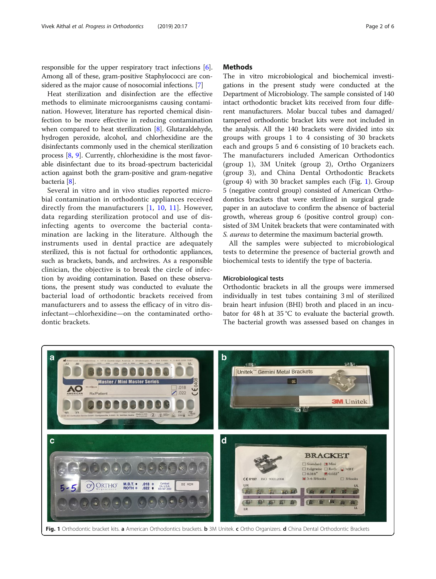responsible for the upper respiratory tract infections [[6](#page-5-0)]. Among all of these, gram-positive Staphylococci are considered as the major cause of nosocomial infections. [\[7\]](#page-5-0)

Heat sterilization and disinfection are the effective methods to eliminate microorganisms causing contamination. However, literature has reported chemical disinfection to be more effective in reducing contamination when compared to heat sterilization [[8](#page-5-0)]. Glutaraldehyde, hydrogen peroxide, alcohol, and chlorhexidine are the disinfectants commonly used in the chemical sterilization process [[8,](#page-5-0) [9\]](#page-5-0). Currently, chlorhexidine is the most favorable disinfectant due to its broad-spectrum bactericidal action against both the gram-positive and gram-negative bacteria [[8\]](#page-5-0).

Several in vitro and in vivo studies reported microbial contamination in orthodontic appliances received directly from the manufacturers [\[1,](#page-5-0) [10](#page-5-0), [11\]](#page-5-0). However, data regarding sterilization protocol and use of disinfecting agents to overcome the bacterial contamination are lacking in the literature. Although the instruments used in dental practice are adequately sterilized, this is not factual for orthodontic appliances, such as brackets, bands, and archwires. As a responsible clinician, the objective is to break the circle of infection by avoiding contamination. Based on these observations, the present study was conducted to evaluate the bacterial load of orthodontic brackets received from manufacturers and to assess the efficacy of in vitro disinfectant—chlorhexidine—on the contaminated orthodontic brackets.

#### **Methods**

The in vitro microbiological and biochemical investigations in the present study were conducted at the Department of Microbiology. The sample consisted of 140 intact orthodontic bracket kits received from four different manufacturers. Molar buccal tubes and damaged/ tampered orthodontic bracket kits were not included in the analysis. All the 140 brackets were divided into six groups with groups 1 to 4 consisting of 30 brackets each and groups 5 and 6 consisting of 10 brackets each. The manufacturers included American Orthodontics (group 1), 3M Unitek (group 2), Ortho Organizers (group 3), and China Dental Orthodontic Brackets (group 4) with 30 bracket samples each (Fig. 1). Group 5 (negative control group) consisted of American Orthodontics brackets that were sterilized in surgical grade paper in an autoclave to confirm the absence of bacterial growth, whereas group 6 (positive control group) consisted of 3M Unitek brackets that were contaminated with S. aureus to determine the maximum bacterial growth.

All the samples were subjected to microbiological tests to determine the presence of bacterial growth and biochemical tests to identify the type of bacteria.

#### Microbiological tests

Orthodontic brackets in all the groups were immersed individually in test tubes containing 3 ml of sterilized brain heart infusion (BHI) broth and placed in an incubator for 48 h at 35 °C to evaluate the bacterial growth. The bacterial growth was assessed based on changes in

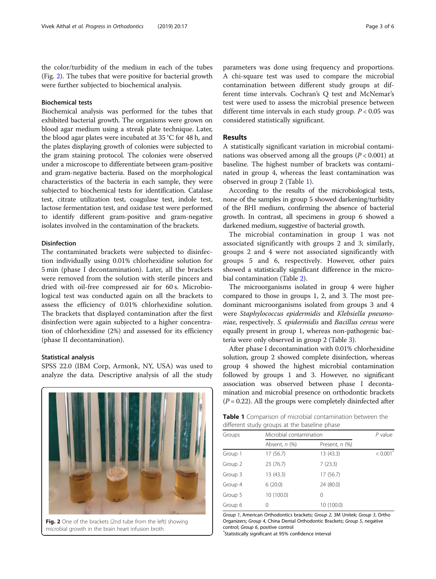the color/turbidity of the medium in each of the tubes (Fig. 2). The tubes that were positive for bacterial growth were further subjected to biochemical analysis.

### Biochemical tests

Biochemical analysis was performed for the tubes that exhibited bacterial growth. The organisms were grown on blood agar medium using a streak plate technique. Later, the blood agar plates were incubated at 35 °C for 48 h, and the plates displaying growth of colonies were subjected to the gram staining protocol. The colonies were observed under a microscope to differentiate between gram-positive and gram-negative bacteria. Based on the morphological characteristics of the bacteria in each sample, they were subjected to biochemical tests for identification. Catalase test, citrate utilization test, coagulase test, indole test, lactose fermentation test, and oxidase test were performed to identify different gram-positive and gram-negative isolates involved in the contamination of the brackets.

## Disinfection

The contaminated brackets were subjected to disinfection individually using 0.01% chlorhexidine solution for 5 min (phase I decontamination). Later, all the brackets were removed from the solution with sterile pincers and dried with oil-free compressed air for 60 s. Microbiological test was conducted again on all the brackets to assess the efficiency of 0.01% chlorhexidine solution. The brackets that displayed contamination after the first disinfection were again subjected to a higher concentration of chlorhexidine (2%) and assessed for its efficiency (phase II decontamination).

#### Statistical analysis

SPSS 22.0 (IBM Corp, Armonk, NY, USA) was used to analyze the data. Descriptive analysis of all the study



considered statistically significant.

#### Results

A statistically significant variation in microbial contaminations was observed among all the groups ( $P < 0.001$ ) at baseline. The highest number of brackets was contaminated in group 4, whereas the least contamination was observed in group 2 (Table 1).

According to the results of the microbiological tests, none of the samples in group 5 showed darkening/turbidity of the BHI medium, confirming the absence of bacterial growth. In contrast, all specimens in group 6 showed a darkened medium, suggestive of bacterial growth.

The microbial contamination in group 1 was not associated significantly with groups 2 and 3; similarly, groups 2 and 4 were not associated significantly with groups 5 and 6, respectively. However, other pairs showed a statistically significant difference in the microbial contamination (Table [2\)](#page-3-0).

The microorganisms isolated in group 4 were higher compared to those in groups 1, 2, and 3. The most predominant microorganisms isolated from groups 3 and 4 were Staphylococcus epidermidis and Klebsiella pneumoniae, respectively. S. epidermidis and Bacillus cereus were equally present in group 1, whereas non-pathogenic bacteria were only observed in group 2 (Table [3](#page-3-0)).

After phase I decontamination with 0.01% chlorhexidine solution, group 2 showed complete disinfection, whereas group 4 showed the highest microbial contamination followed by groups 1 and 3. However, no significant association was observed between phase I decontamination and microbial presence on orthodontic brackets  $(P = 0.22)$ . All the groups were completely disinfected after



Fig. 2 One of the brackets (2nd tube from the left) showing microbial growth in the brain heart infusion broth

Table 1 Comparison of microbial contamination between the different study groups at the baseline phase

| Groups  | Microbial contamination |                | P value                |
|---------|-------------------------|----------------|------------------------|
|         | Absent, n (%)           | Present, n (%) |                        |
| Group 1 | 17 (56.7)               | 13 (43.3)      | $< 0.001$ <sup>*</sup> |
| Group 2 | 23 (76.7)               | 7(23.3)        |                        |
| Group 3 | 13(43.3)                | 17 (56.7)      |                        |
| Group 4 | 6(20.0)                 | 24 (80.0)      |                        |
| Group 5 | 10 (100.0)              | 0              |                        |
| Group 6 |                         | 10 (100.0)     |                        |

Group 1, American Orthodontics brackets; Group 2, 3M Unitek; Group 3, Ortho Organizers; Group 4, China Dental Orthodontic Brackets; Group 5, negative control; Group 6, positive control

Statistically significant at 95% confidence interval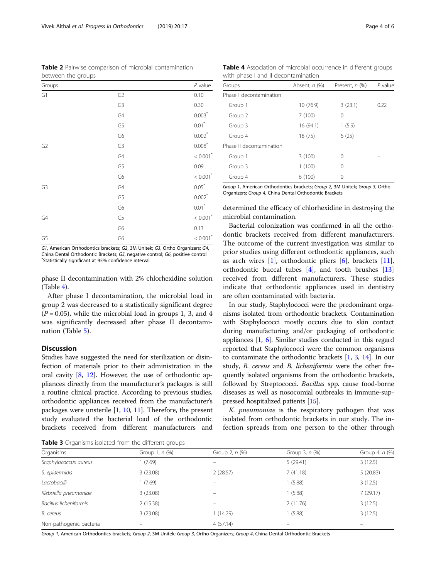<span id="page-3-0"></span>Table 2 Pairwise comparison of microbial contamination between the groups

| Groups         |                | $P$ value              |
|----------------|----------------|------------------------|
| G1             | G <sub>2</sub> | 0.10                   |
|                | G3             | 0.30                   |
|                | G4             | $0.003^{*}$            |
|                | G5             | $0.01*$                |
|                | G6             | $0.002^*$              |
| G <sub>2</sub> | G3             | $0.008^*$              |
|                | G4             | $< 0.001$ <sup>*</sup> |
|                | G5             | 0.09                   |
|                | G6             | $< 0.001^{\ast}$       |
| G <sub>3</sub> | G4             | $0.05*$                |
|                | G5             | $0.002$ <sup>*</sup>   |
|                | G6             | $0.01*$                |
| G4             | G5             | $< 0.001^{\ast}$       |
|                | G6             | 0.13                   |
| G5             | G6             | $< 0.001$ <sup>*</sup> |

G1, American Orthodontics brackets; G2, 3M Unitek; G3, Ortho Organizers; G4, China Dental Orthodontic Brackets; G5, negative control; G6, positive control \* Statistically significant at 95% confidence interval

phase II decontamination with 2% chlorhexidine solution  $(Table 4)$ .

After phase I decontamination, the microbial load in group 2 was decreased to a statistically significant degree  $(P = 0.05)$ , while the microbial load in groups 1, 3, and 4 was significantly decreased after phase II decontamination (Table [5\)](#page-4-0).

## **Discussion**

Studies have suggested the need for sterilization or disinfection of materials prior to their administration in the oral cavity [[8,](#page-5-0) [12\]](#page-5-0). However, the use of orthodontic appliances directly from the manufacturer's packages is still a routine clinical practice. According to previous studies, orthodontic appliances received from the manufacturer's packages were unsterile [\[1,](#page-5-0) [10,](#page-5-0) [11](#page-5-0)]. Therefore, the present study evaluated the bacterial load of the orthodontic brackets received from different manufacturers and

Table 3 Organisms isolated from the different groups

Table 4 Association of microbial occurrence in different groups with phase I and II decontamination

| Groups                   | Absent, n (%) | Present, n (%) | $P$ value |
|--------------------------|---------------|----------------|-----------|
| Phase I decontamination  |               |                |           |
| Group 1                  | 10 (76.9)     | 3(23.1)        | 0.22      |
| Group 2                  | 7(100)        | 0              |           |
| Group 3                  | 16 (94.1)     | 1(5.9)         |           |
| Group 4                  | 18 (75)       | 6(25)          |           |
| Phase II decontamination |               |                |           |
| Group 1                  | 3(100)        | 0              |           |
| Group 3                  | 1(100)        | 0              |           |
| Group 4                  | 6(100)        | 0              |           |

Group 1, American Orthodontics brackets; Group 2, 3M Unitek; Group 3, Ortho Organizers; Group 4, China Dental Orthodontic Brackets

determined the efficacy of chlorhexidine in destroying the microbial contamination.

Bacterial colonization was confirmed in all the orthodontic brackets received from different manufacturers. The outcome of the current investigation was similar to prior studies using different orthodontic appliances, such as arch wires [\[1](#page-5-0)], orthodontic pliers [[6\]](#page-5-0), brackets [\[11](#page-5-0)], orthodontic buccal tubes [\[4](#page-5-0)], and tooth brushes [[13](#page-5-0)] received from different manufacturers. These studies indicate that orthodontic appliances used in dentistry are often contaminated with bacteria.

In our study, Staphylococci were the predominant organisms isolated from orthodontic brackets. Contamination with Staphylococci mostly occurs due to skin contact during manufacturing and/or packaging of orthodontic appliances [\[1](#page-5-0), [6\]](#page-5-0). Similar studies conducted in this regard reported that Staphylococci were the common organisms to contaminate the orthodontic brackets [\[1,](#page-5-0) [3](#page-5-0), [14](#page-5-0)]. In our study, B. cereus and B. licheniformis were the other frequently isolated organisms from the orthodontic brackets, followed by Streptococci. Bacillus spp. cause food-borne diseases as well as nosocomial outbreaks in immune-suppressed hospitalized patients [\[15](#page-5-0)].

K. pneumoniae is the respiratory pathogen that was isolated from orthodontic brackets in our study. The infection spreads from one person to the other through

| Organisms               | Group 1, n (%) | Group 2, $n$ $(\%)$ | Group $3, n$ (%) | Group 4, n (%) |
|-------------------------|----------------|---------------------|------------------|----------------|
| Staphylococcus aureus   | 1(7.69)        | -                   | 5(29.41)         | 3(12.5)        |
| S. epidermidis          | 3(23.08)       | 2(28.57)            | 7(41.18)         | 5(20.83)       |
| Lactobacilli            | 1(7.69)        |                     | 1(5.88)          | 3(12.5)        |
| Klebsiella pneumoniae   | 3(23.08)       | -                   | 1(5.88)          | 7(29.17)       |
| Bacillus licheniformis  | 2(15.38)       |                     | 2(11.76)         | 3(12.5)        |
| B. cereus               | 3(23.08)       | (14.29)             | 1(5.88)          | 3(12.5)        |
| Non-pathogenic bacteria |                | 4(57.14)            |                  |                |
|                         |                |                     |                  |                |

Group 1, American Orthodontics brackets; Group 2, 3M Unitek; Group 3, Ortho Organizers; Group 4, China Dental Orthodontic Brackets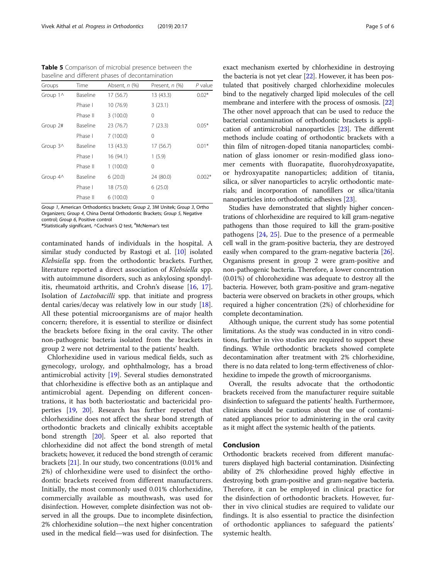<span id="page-4-0"></span>Table 5 Comparison of microbial presence between the baseline and different phases of decontamination

| Groups   | Time     | Absent, n (%) | Present, n (%) | $P$ value |
|----------|----------|---------------|----------------|-----------|
| Group 1^ | Baseline | 17 (56.7)     | 13(43.3)       | $0.02*$   |
|          | Phase I  | 10 (76.9)     | 3(23.1)        |           |
|          | Phase II | 3(100.0)      | 0              |           |
| Group 2# | Baseline | 23(76.7)      | 7(23.3)        | $0.05*$   |
|          | Phase I  | 7(100.0)      | 0              |           |
| Group 3^ | Baseline | 13(43.3)      | 17 (56.7)      | $0.01*$   |
|          | Phase I  | 16 (94.1)     | 1(5.9)         |           |
|          | Phase II | 1(100.0)      | 0              |           |
| Group 4^ | Baseline | 6(20.0)       | 24 (80.0)      | $0.002*$  |
|          | Phase I  | 18 (75.0)     | 6(25.0)        |           |
|          | Phase II | 6(100.0)      | 0              |           |

Group 1, American Orthodontics brackets; Group 2, 3M Unitek; Group 3, Ortho Organizers; Group 4, China Dental Orthodontic Brackets; Group 5, Negative control; Group 6, Positive control

\*Statistically significant, ^Cochran's Q test, # McNemar's test

contaminated hands of individuals in the hospital. A similar study conducted by Rastogi et al. [[10](#page-5-0)] isolated Klebsiella spp. from the orthodontic brackets. Further, literature reported a direct association of Klebsiella spp. with autoimmune disorders, such as ankylosing spondylitis, rheumatoid arthritis, and Crohn's disease [[16,](#page-5-0) [17](#page-5-0)]. Isolation of Lactobacilli spp. that initiate and progress dental caries/decay was relatively low in our study [\[18](#page-5-0)]. All these potential microorganisms are of major health concern; therefore, it is essential to sterilize or disinfect the brackets before fixing in the oral cavity. The other non-pathogenic bacteria isolated from the brackets in group 2 were not detrimental to the patients' health.

Chlorhexidine used in various medical fields, such as gynecology, urology, and ophthalmology, has a broad antimicrobial activity [[19](#page-5-0)]. Several studies demonstrated that chlorhexidine is effective both as an antiplaque and antimicrobial agent. Depending on different concentrations, it has both bacteriostatic and bactericidal properties [[19,](#page-5-0) [20](#page-5-0)]. Research has further reported that chlorhexidine does not affect the shear bond strength of orthodontic brackets and clinically exhibits acceptable bond strength [\[20\]](#page-5-0). Speer et al. also reported that chlorhexidine did not affect the bond strength of metal brackets; however, it reduced the bond strength of ceramic brackets [[21](#page-5-0)]. In our study, two concentrations (0.01% and 2%) of chlorhexidine were used to disinfect the orthodontic brackets received from different manufacturers. Initially, the most commonly used 0.01% chlorhexidine, commercially available as mouthwash, was used for disinfection. However, complete disinfection was not observed in all the groups. Due to incomplete disinfection, 2% chlorhexidine solution—the next higher concentration used in the medical field—was used for disinfection. The

exact mechanism exerted by chlorhexidine in destroying the bacteria is not yet clear [[22\]](#page-5-0). However, it has been postulated that positively charged chlorhexidine molecules bind to the negatively charged lipid molecules of the cell membrane and interfere with the process of osmosis. [[22](#page-5-0)] The other novel approach that can be used to reduce the bacterial contamination of orthodontic brackets is application of antimicrobial nanoparticles [[23](#page-5-0)]. The different methods include coating of orthodontic brackets with a thin film of nitrogen-doped titania nanoparticles; combination of glass ionomer or resin-modified glass ionomer cements with fluorapatite, fluorohydroxyapatite, or hydroxyapatite nanoparticles; addition of titania, silica, or silver nanoparticles to acrylic orthodontic materials; and incorporation of nanofillers or silica/titania nanoparticles into orthodontic adhesives [\[23](#page-5-0)].

Studies have demonstrated that slightly higher concentrations of chlorhexidine are required to kill gram-negative pathogens than those required to kill the gram-positive pathogens [[24,](#page-5-0) [25](#page-5-0)]. Due to the presence of a permeable cell wall in the gram-positive bacteria, they are destroyed easily when compared to the gram-negative bacteria [[26](#page-5-0)]. Organisms present in group 2 were gram-positive and non-pathogenic bacteria. Therefore, a lower concentration (0.01%) of chlorohexidine was adequate to destroy all the bacteria. However, both gram-positive and gram-negative bacteria were observed on brackets in other groups, which required a higher concentration (2%) of chlorhexidine for complete decontamination.

Although unique, the current study has some potential limitations. As the study was conducted in in vitro conditions, further in vivo studies are required to support these findings. While orthodontic brackets showed complete decontamination after treatment with 2% chlorhexidine, there is no data related to long-term effectiveness of chlorhexidine to impede the growth of microorganisms.

Overall, the results advocate that the orthodontic brackets received from the manufacturer require suitable disinfection to safeguard the patients' health. Furthermore, clinicians should be cautious about the use of contaminated appliances prior to administering in the oral cavity as it might affect the systemic health of the patients.

#### Conclusion

Orthodontic brackets received from different manufacturers displayed high bacterial contamination. Disinfecting ability of 2% chlorhexidine proved highly effective in destroying both gram-positive and gram-negative bacteria. Therefore, it can be employed in clinical practice for the disinfection of orthodontic brackets. However, further in vivo clinical studies are required to validate our findings. It is also essential to practice the disinfection of orthodontic appliances to safeguard the patients' systemic health.